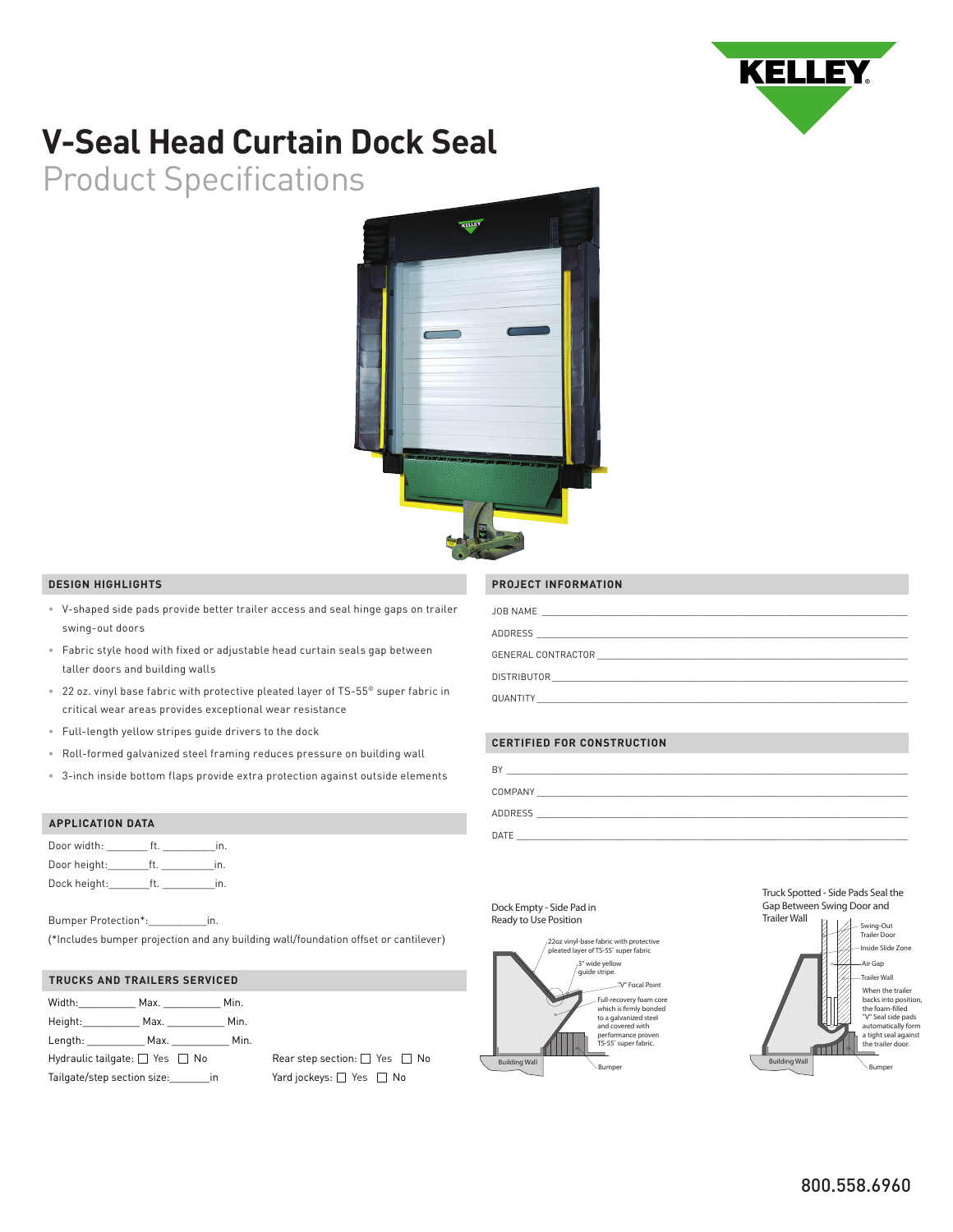

# **V-Seal Head Curtain Dock Seal**

Product Specifications



## **DESIGN HIGHLIGHTS**

- V-shaped side pads provide better trailer access and seal hinge gaps on trailer swing-out doors
- Fabric style hood with fixed or adjustable head curtain seals gap between taller doors and building walls
- 22 oz. vinyl base fabric with protective pleated layer of TS-55® super fabric in critical wear areas provides exceptional wear resistance
- Full-length yellow stripes guide drivers to the dock
- Roll-formed galvanized steel framing reduces pressure on building wall
- 3-inch inside bottom flaps provide extra protection against outside elements

## **APPLICATION DATA**

| Door width:  | ın |
|--------------|----|
| Door height: | ın |
| Dock height: | ın |

Bumper Protection\*:\_\_\_\_\_\_\_\_\_\_in. (\*Includes bumper projection and any building wall/foundation offset or cantilever)

### **TRUCKS AND TRAILERS SERVICED**

| Width:                                                                                                          |  | Max.                                                                                                           | Min. |
|-----------------------------------------------------------------------------------------------------------------|--|----------------------------------------------------------------------------------------------------------------|------|
| Height: New York 1996                                                                                           |  | Max. <b>Max.</b>                                                                                               | Min. |
| Length: the control of the control of the control of the control of the control of the control of the control o |  | Max. And the same of the same of the same of the same of the same of the same of the same of the same of the s | Min. |
| Hydraulic tailgate: $\Box$ Yes $\Box$ No                                                                        |  |                                                                                                                |      |
| Tailgate/step section size:                                                                                     |  | in                                                                                                             |      |

Rear step section:  $\Box$  Yes  $\Box$  No Yard jockeys:  $\square$  Yes  $\square$  No

### **PROJECT INFORMATION**

| JOB NAME<br>the control of the control of the control of the control of the control of the control of           |
|-----------------------------------------------------------------------------------------------------------------|
| ADDRESS<br>the control of the control of the control of the control of the control of the control of            |
| GENERAL CONTRACTOR                                                                                              |
| <b>DISTRIBUTOR</b><br>the control of the control of the control of the control of the control of the control of |
| QUANTITY                                                                                                        |

## **CERTIFIED FOR CONSTRUCTION**

| BY             |
|----------------|
| COMPANY        |
| <b>ADDRESS</b> |
| DATE           |

#### **Dock Empty - Side Pad in Ready to Use Position**



**Truck Spotted - Side Pads Seal the Gap Between Swing Door and**